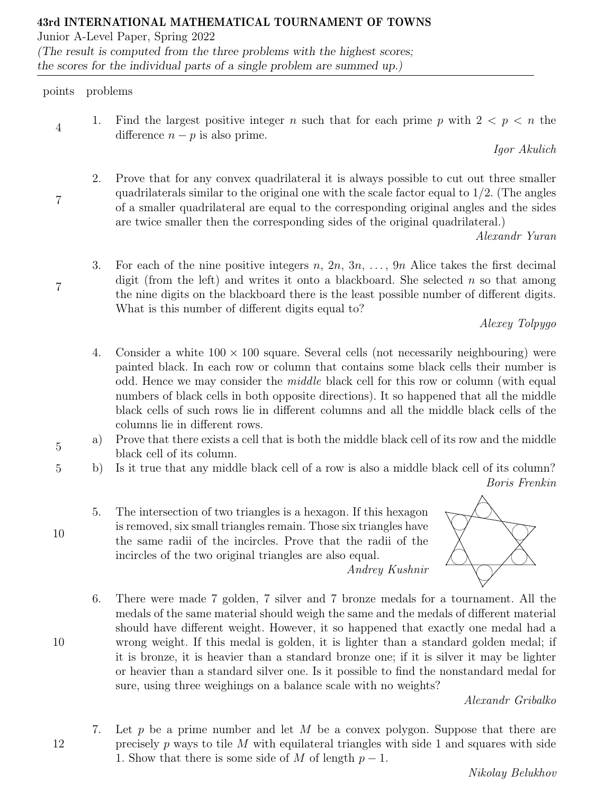Junior A-Level Paper, Spring 2022

(The result is computed from the three problems with the highest scores; the scores for the individual parts of a single problem are summed up.)

## points problems

4

7

7

5

10

10

12

1. Find the largest positive integer n such that for each prime p with  $2 < p < n$  the difference  $n - p$  is also prime.

Igor Akulich

2. Prove that for any convex quadrilateral it is always possible to cut out three smaller quadrilaterals similar to the original one with the scale factor equal to  $1/2$ . (The angles of a smaller quadrilateral are equal to the corresponding original angles and the sides are twice smaller then the corresponding sides of the original quadrilateral.)

Alexandr Yuran

3. For each of the nine positive integers n,  $2n, 3n, \ldots, 9n$  Alice takes the first decimal digit (from the left) and writes it onto a blackboard. She selected  $n$  so that among the nine digits on the blackboard there is the least possible number of different digits. What is this number of different digits equal to?

Alexey Tolpygo

- 4. Consider a white  $100 \times 100$  square. Several cells (not necessarily neighbouring) were painted black. In each row or column that contains some black cells their number is odd. Hence we may consider the middle black cell for this row or column (with equal numbers of black cells in both opposite directions). It so happened that all the middle black cells of such rows lie in different columns and all the middle black cells of the columns lie in different rows.
- a) Prove that there exists a cell that is both the middle black cell of its row and the middle black cell of its column.
- 5 b) Is it true that any middle black cell of a row is also a middle black cell of its column? Boris Frenkin
	- 5. The intersection of two triangles is a hexagon. If this hexagon is removed, six small triangles remain. Those six triangles have the same radii of the incircles. Prove that the radii of the incircles of the two original triangles are also equal.



6. There were made 7 golden, 7 silver and 7 bronze medals for a tournament. All the medals of the same material should weigh the same and the medals of different material should have different weight. However, it so happened that exactly one medal had a wrong weight. If this medal is golden, it is lighter than a standard golden medal; if it is bronze, it is heavier than a standard bronze one; if it is silver it may be lighter or heavier than a standard silver one. Is it possible to find the nonstandard medal for sure, using three weighings on a balance scale with no weights?

Andrey Kushnir

Alexandr Gribalko

7. Let p be a prime number and let M be a convex polygon. Suppose that there are precisely  $p$  ways to tile  $M$  with equilateral triangles with side 1 and squares with side 1. Show that there is some side of M of length  $p-1$ .

Nikolay Belukhov